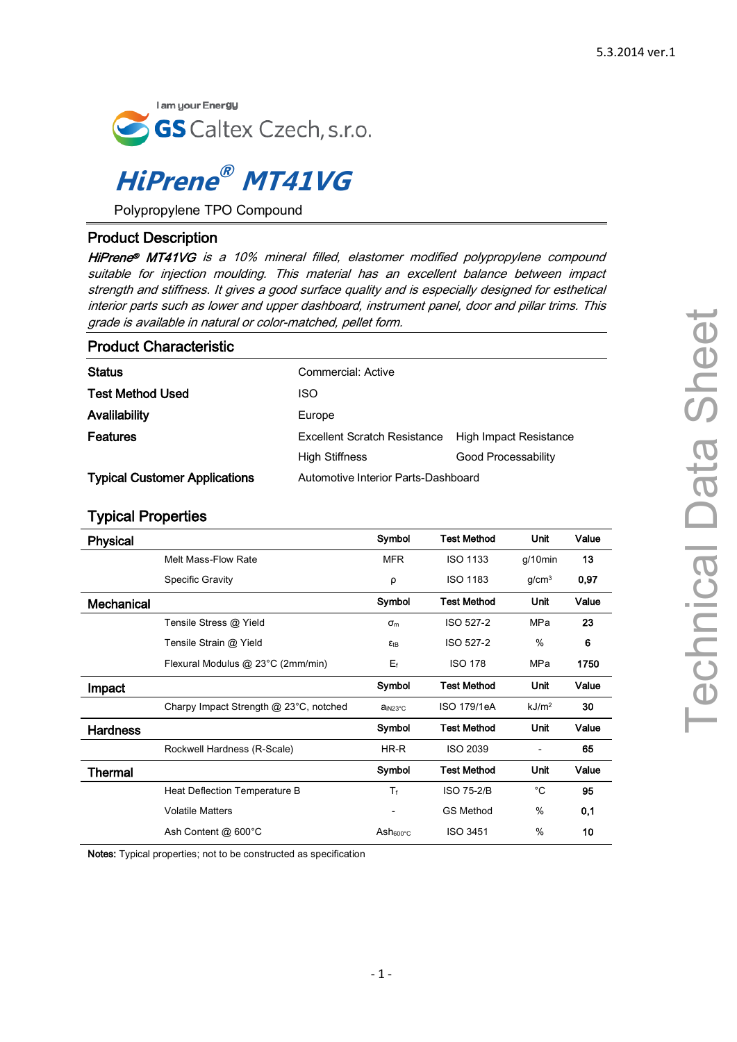

# **HiPrene ® MT41VG**

Polypropylene TPO Compound

## Product Description

HiPrene® MT41VG is a 10% mineral filled, elastomer modified polypropylene compound suitable for injection moulding. This material has an excellent balance between impact strength and stiffness. It gives a good surface quality and is especially designed for esthetical interior parts such as lower and upper dashboard, instrument panel, door and pillar trims. This grade is available in natural or color-matched, pellet form.

| <b>Product Characteristic</b>        |                                     |                        |
|--------------------------------------|-------------------------------------|------------------------|
| <b>Status</b>                        | Commercial: Active                  |                        |
| <b>Test Method Used</b>              | <b>ISO</b>                          |                        |
| Avalilability                        | Europe                              |                        |
| <b>Features</b>                      | <b>Excellent Scratch Resistance</b> | High Impact Resistance |
|                                      | <b>High Stiffness</b>               | Good Processability    |
| <b>Typical Customer Applications</b> | Automotive Interior Parts-Dashboard |                        |

## Typical Properties

| <b>Physical</b>   |                                        | Symbol                 | <b>Test Method</b> | Unit                     | Value |
|-------------------|----------------------------------------|------------------------|--------------------|--------------------------|-------|
|                   | Melt Mass-Flow Rate                    | <b>MFR</b>             | <b>ISO 1133</b>    | $g/10$ min               | 13    |
|                   | <b>Specific Gravity</b>                | ρ                      | <b>ISO 1183</b>    | g/cm <sup>3</sup>        | 0,97  |
| <b>Mechanical</b> |                                        | Symbol                 | <b>Test Method</b> | Unit                     | Value |
|                   | Tensile Stress @ Yield                 | $\sigma_{\rm m}$       | <b>ISO 527-2</b>   | <b>MPa</b>               | 23    |
|                   | Tensile Strain @ Yield                 | <b>ε</b> <sub>tΒ</sub> | ISO 527-2          | $\%$                     | 6     |
|                   | Flexural Modulus @ 23°C (2mm/min)      | $E_f$                  | <b>ISO 178</b>     | MPa                      | 1750  |
| Impact            |                                        | Symbol                 | <b>Test Method</b> | Unit                     | Value |
|                   | Charpy Impact Strength @ 23°C, notched | ain <sub>23°C</sub>    | ISO 179/1eA        | kJ/m <sup>2</sup>        | 30    |
| <b>Hardness</b>   |                                        | Symbol                 | <b>Test Method</b> | Unit                     | Value |
|                   | Rockwell Hardness (R-Scale)            | HR-R                   | <b>ISO 2039</b>    | $\overline{\phantom{0}}$ | 65    |
| Thermal           |                                        | Symbol                 | <b>Test Method</b> | Unit                     | Value |
|                   | Heat Deflection Temperature B          | $T_f$                  | <b>ISO 75-2/B</b>  | $^{\circ}$ C             | 95    |
|                   | <b>Volatile Matters</b>                |                        | <b>GS Method</b>   | %                        | 0,1   |
|                   | Ash Content @ 600°C                    | Ash <sub>600°C</sub>   | <b>ISO 3451</b>    | %                        | 10    |

Notes: Typical properties; not to be constructed as specification